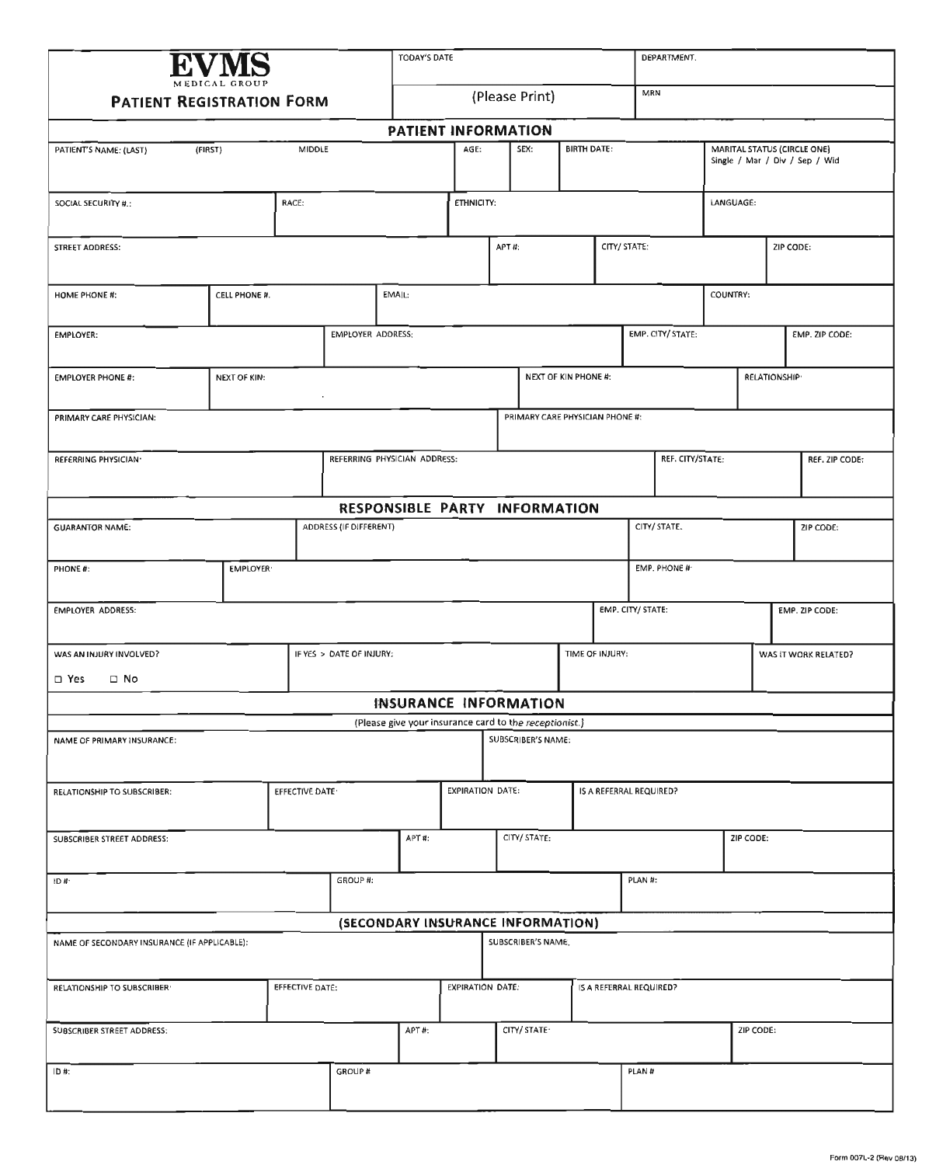| MEDICAL GROUP                                         |                 |                 |                          | TODAY'S DATE<br>DEPARTMENT.                            |                         |       |                                 |                             |                         |                   |           |                             |                     |                                |
|-------------------------------------------------------|-----------------|-----------------|--------------------------|--------------------------------------------------------|-------------------------|-------|---------------------------------|-----------------------------|-------------------------|-------------------|-----------|-----------------------------|---------------------|--------------------------------|
| <b>PATIENT REGISTRATION FORM</b>                      |                 |                 |                          |                                                        | MRN<br>(Please Print)   |       |                                 |                             |                         |                   |           |                             |                     |                                |
|                                                       |                 |                 |                          | PATIENT INFORMATION                                    |                         |       |                                 |                             |                         |                   |           |                             |                     |                                |
| PATIENT'S NAME: (LAST)                                | (FIRST)         | MIDDLE          |                          |                                                        | AGE:                    |       | SEX:                            | <b>BIRTH DATE:</b>          |                         |                   |           | MARITAL STATUS (CIRCLE ONE) |                     | Single / Mar / Div / Sep / Wid |
| SOCIAL SECURITY #.:                                   |                 | RACE:           |                          |                                                        | ETHNICITY:              |       |                                 |                             |                         |                   | LANGUAGE: |                             |                     |                                |
| STREET AODRESS:                                       |                 |                 |                          |                                                        |                         | APT#: |                                 |                             | CITY/ STATE:            |                   |           |                             | ZIP CODE:           |                                |
| <b>HOME PHONE #:</b>                                  | CELL PHONE #.   |                 |                          | EMAIL:                                                 |                         |       |                                 |                             |                         |                   | COUNTRY:  |                             |                     |                                |
| EMPLOYER:                                             |                 |                 | EMPLOYER ADORESS:        |                                                        |                         |       |                                 |                             |                         | EMP. CITY/ STATE: |           |                             |                     | EMP. ZIP CODE:                 |
| <b>EMPLOYER PHONE #:</b>                              | NEXT OF KIN:    |                 |                          |                                                        |                         |       |                                 | <b>NEXT OF KIN PHONE #:</b> |                         |                   |           |                             | <b>RELATIONSHIP</b> |                                |
| PRIMARY CARE PHYSICIAN:                               |                 |                 |                          |                                                        |                         |       | PRIMARY CARE PHYSICIAN PHONE #: |                             |                         |                   |           |                             |                     |                                |
| REFERRING PHYSICIAN·                                  |                 |                 |                          | REFERRING PHYSICIAN ADDRESS:                           |                         |       |                                 |                             |                         | REF. CITY/STATE:  |           |                             |                     | REF. ZIP CODE:                 |
|                                                       |                 |                 |                          | RESPONSIBLE PARTY INFORMATION                          |                         |       |                                 |                             |                         |                   |           |                             |                     |                                |
| <b>GUARANTOR NAME:</b>                                |                 |                 | ADDRESS (IF DIFFERENT)   |                                                        |                         |       |                                 |                             |                         | CITY/ STATE.      |           |                             |                     | ZIP CODE:                      |
| PHONE #:                                              | <b>EMPLOYER</b> |                 |                          |                                                        |                         |       |                                 |                             |                         | EMP. PHONE #      |           |                             |                     |                                |
| <b>EMPLOYER ADDRESS:</b>                              |                 |                 |                          |                                                        |                         |       |                                 |                             | EMP. CITY/ STATE:       |                   |           |                             |                     | EMP. ZIP CODE:                 |
| WAS AN INJURY INVOLVED?<br>$\square$ Yes<br>$\Box$ No |                 |                 | IF YES > DATE OF INJURY: |                                                        |                         |       |                                 | TIME OF INJURY:             |                         |                   |           |                             |                     | WAS IT WORK RELATED?           |
|                                                       |                 |                 |                          | INSURANCE INFORMATION                                  |                         |       |                                 |                             |                         |                   |           |                             |                     |                                |
|                                                       |                 |                 |                          | (Please give your insurance card to the receptionist.) |                         |       |                                 |                             |                         |                   |           |                             |                     |                                |
| NAME OF PRIMARY INSURANCE:                            |                 |                 |                          |                                                        |                         |       | SUBSCRIBER'S NAME:              |                             |                         |                   |           |                             |                     |                                |
| RELATIONSHIP TO SUBSCRIBER:                           |                 | EFFECTIVE DATE  |                          |                                                        | <b>EXPIRATION DATE:</b> |       |                                 |                             | IS A REFERRAL REQUIRED? |                   |           |                             |                     |                                |
| SUBSCRIBER STREET ADDRESS:                            |                 |                 |                          | APT#:                                                  |                         |       | CITY/ STATE:                    |                             |                         |                   |           | ZIP CODE:                   |                     |                                |
| ID#                                                   |                 |                 | GROUP #:                 |                                                        |                         |       |                                 |                             | PLAN #:                 |                   |           |                             |                     |                                |
|                                                       |                 |                 |                          | (SECONDARY INSURANCE INFORMATION)                      |                         |       |                                 |                             |                         |                   |           |                             |                     |                                |
| NAME OF SECONDARY INSURANCE (IF APPLICABLE):          |                 |                 |                          |                                                        |                         |       | SUBSCRIBER'S NAME.              |                             |                         |                   |           |                             |                     |                                |
| RELATIONSHIP TO SUBSCRIBER                            |                 | EFFECTIVE DATE: |                          |                                                        | <b>EXPIRATION DATE:</b> |       |                                 |                             | IS A REFERRAL REQUIRED? |                   |           |                             |                     |                                |
| SUBSCRIBER STREET ADDRESS:                            |                 |                 |                          | APT#:                                                  |                         |       | CITY/ STATE·                    |                             |                         |                   |           | ZIP CODE:                   |                     |                                |
| ID#:                                                  |                 |                 | GROUP #                  |                                                        |                         |       |                                 |                             | PLAN#                   |                   |           |                             |                     |                                |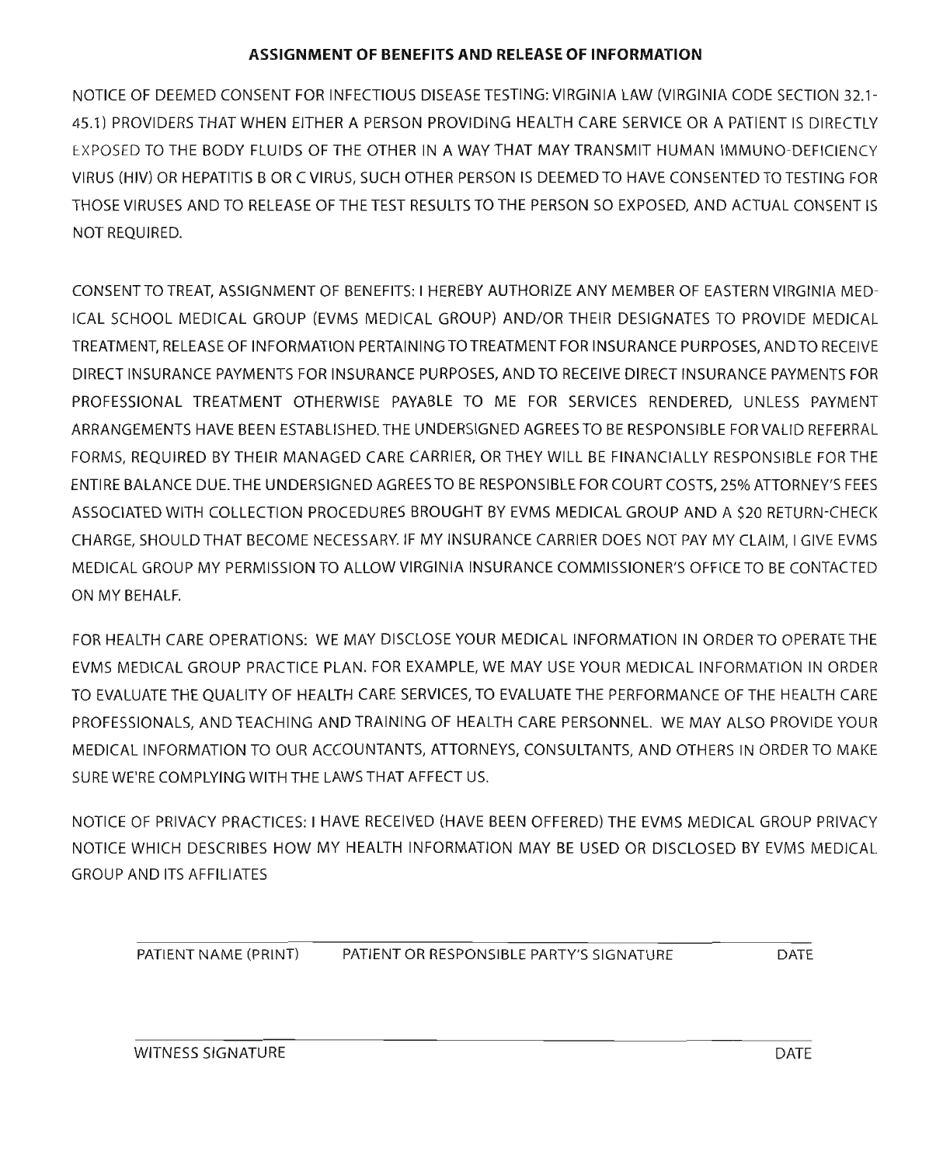#### **ASSIGNMENT OF BENEFITS AND RELEASE OF INFORMATION**

NOTICE OF DEEMED CONSENT FOR INFECTIOUS DISEASE TESTING: VIRGINIA LAW (VIRGINIA CODE SECTION 32.1- 45.1} PROVIDERS THAT WHEN EITHER A PERSON PROVIDING HEALTH CARE SERVICE OR A PATIENT IS DIRECTLY EXPOSED TO THE BODY FLUIDS OF THE OTHER IN A WAY THAT MAY TRANSMIT HUMAN IMMUNO-DEFICIENCY VIRUS (HIV) OR HEPATITIS B OR C VIRUS, SUCH OTHER PERSON IS DEEMED TO HAVE CONSENTED TO TESTING FOR THOSE VIRUSES AND TO RELEASE OF THE TEST RESULTS TO THE PERSON SO EXPOSED, AND ACTUAL CONSENT IS NOT REQUIRED.

CONSENT TO TREAT, ASSIGNMENT OF BENEFITS: I HEREBY AUTHORIZE ANY MEMBER OF EASTERN VIRGINIA MED-ICAL SCHOOL MEDICAL GROUP (EVMS MEDICAL GROUP) AND/OR THEIR DESIGNATES TO PROVIDE MEDICAL TREATMENT, RELEASE OF INFORMATION PERTAININGTOTREATMENT FOR INSURANCE PURPOSES, ANDTO RECEIVE DIRECT INSURANCE PAYMENTS FOR INSURANCE PURPOSES, ANDTO RECEIVE DIRECT INSURANCE PAYMENTS FOR PROFESSIONAL TREATMENT OTHERWISE PAYABLE TO ME FOR SERVICES RENDERED, UNLESS PAYMENT ARRANGEMENTS HAVE BEEN ESTABLISHED. THE UNDERSIGNED AGREESTO BE RESPONSIBLE FORVALID REFERRAL FORMS, REQUIRED BY THEIR MANAGED CARE CARRIER, OR THEY WILL BE FINANCIALLY RESPONSIBLE FOR THE ENTIRE BALANCE DUE.THE UNDERSIGNED AGREESTO BE RESPONSIBLE FOR COURT COSTS, 25% ATTORNEY'S FEES ASSOCIATED WITH COLLECTION PROCEDURES BROUGHT BY EVMS MEDICAL GROUP AND A \$20 RETURN-CHECK CHARGE, SHOULD THAT BECOME NECESSARY. IF MY INSURANCE CARRIER DOES NOT PAY MY CLAIM, I GIVE EVMS MEDICAL GROUP MY PERMISSION TO ALLOW VIRGINIA INSURANCE COMMISSIONER'S OFFICETO BE CONTACTED ON MY BEHALF.

FOR HEALTH CARE OPERATIONS: WE MAY DISCLOSE YOUR MEDICAL INFORMATION IN ORDER TO OPERATE THE EVMS MEDICAL GROUP PRACTICE PLAN. FOR EXAMPLE, WE MAY USE YOUR MEDICAL INFORMATION IN ORDER TO EVALUATE THE QUALITY OF HEALTH CARE SERVICES, TO EVALUATE THE PERFORMANCE OF THE HEALTH CARE PROFESSIONALS, AND TEACHING AND TRAINING OF HEALTH CARE PERSONNEL. WE MAY ALSO PROVIDE YOUR MEDICAL INFORMATION TO OUR ACCOUNTANTS, ATTORNEYS, CONSULTANTS, AND OTHERS IN ORDER TO MAKE SURE WE'RE COMPLYING WITH THE LAWS THAT AFFECT US.

NOTICE OF PRIVACY PRACTICES: I HAVE RECEIVED (HAVE BEEN OFFERED) THE EVMS MEDICAL GROUP PRIVACY NOTICE WHICH DESCRIBES HOW MY HEALTH INFORMATION MAY BE USED OR DISCLOSED BY EVMS MEDICAL GROUP AND ITS AFFILIATES

PATIENT NAME (PRINT) PATIENT OR RESPONSIBLE PARTY'S SIGNATURE DATE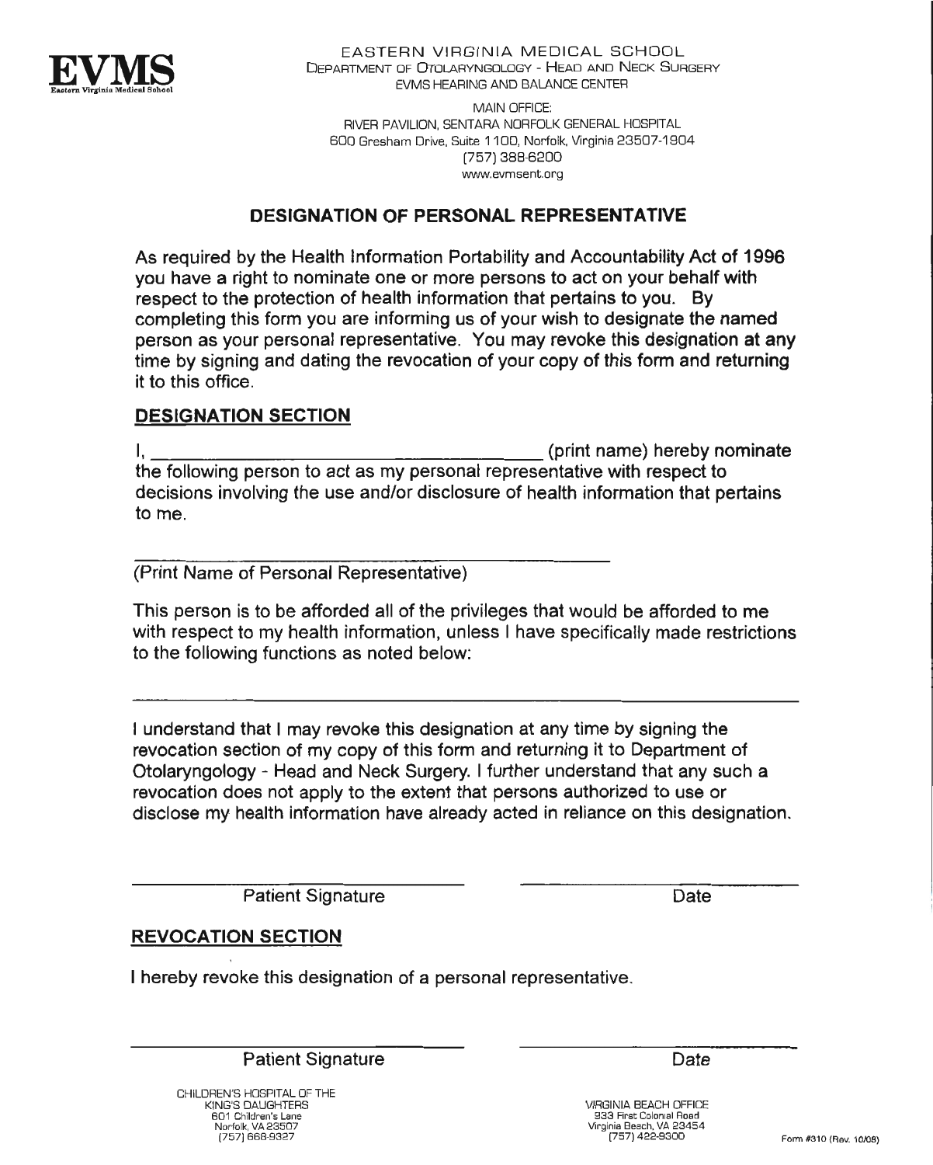

**EASTERN VIRGINIA MEDICAL SCHOOL** DEPARTMENT OF OTOLARYNGOLOGY - HEAD AND NECK SURGERY EVMS HEARING AND BALANCE CENTER

MAIN OFFICE: RIVER PAVILION, SENTARA NORFOLK GENERAL HOSPITAL BOO Gresham Drive, Suite 11 CO, Norfolk, Virginia 23507-1904 [757] 388-6200 www.evmsent.org

### **DESIGNATION OF PERSONAL REPRESENTATIVE**

As required by the Health information Portability and Accountability Act of 1996 you have a right to nominate one or more persons to act on your behalf with respect to the protection of health information that pertains to you. By completing this form you are informing us of your wish to designate the named person as your personal representative. You may revoke this designation at any time by signing and dating the revocation of your copy of this form and returning it to this office.

#### **DESIGNATION SECTION**

I, (print name) hereby nominate the following person to act as my personal representative with respect to decisions involving the use and/or disclosure of health information that pertains to me.

(Print Name of Personal Representative)

This person is to be afforded all of the privileges that would be afforded to me with respect to my health information, unless I have specifically made restrictions to the following functions as noted below;

I understand that I may revoke this designation at any time by signing the revocation section of my copy of this form and returning it to Department of Otolaryngology - Head and Neck Surgery. I further understand that any such a revocation does not apply to the extent that persons authorized to use or disclose my health information have already acted in reliance on this designation.

Patient Signature

Date

## **REVOCATION SECTION**

I hereby revoke this designation of a personal representative.

Patient Signature

CHILDREN'S HOSPITAL OF THE KING'S DAUGHTERS 601 Children's Lane Norfolk, VA 93507 [757] 668-9327

Date

VIRGINIA BEACH OFFICE 333 First Colonial Road Virginia Beach, VA 23454 (757) 422-9300 Form #310 (Rev. 10/09)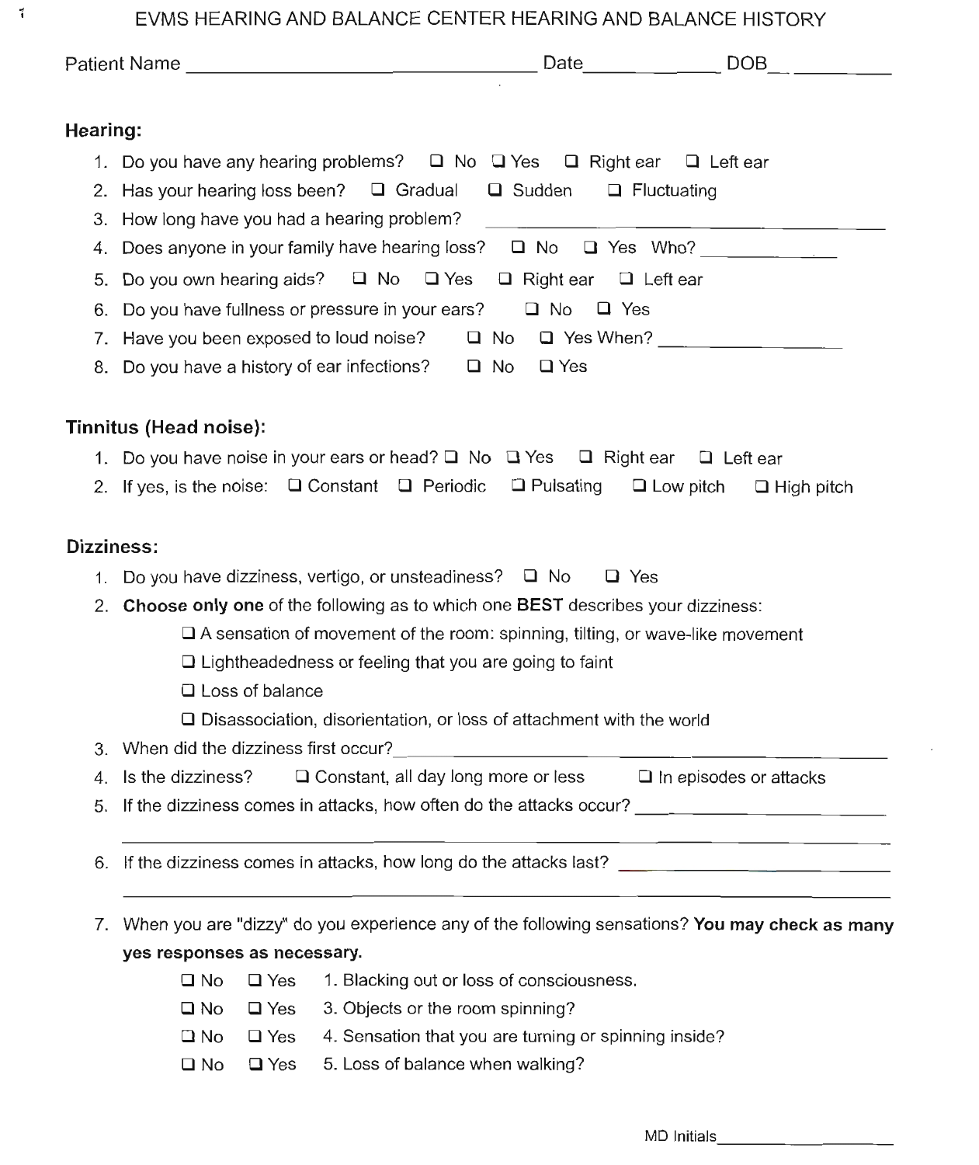EVMS HEARING AND BALANCE CENTER HEARING AND BALANCE HISTORY

 $\vec{i}$ 

| Hearing:                               |                                                                                                              |                               |
|----------------------------------------|--------------------------------------------------------------------------------------------------------------|-------------------------------|
|                                        | 1. Do you have any hearing problems? $\Box$ No $\Box$ Yes $\Box$ Right ear $\Box$ Left ear                   |                               |
|                                        | 2. Has your hearing loss been? $\Box$ Gradual $\Box$ Sudden $\Box$ Fluctuating                               |                               |
|                                        | 3. How long have you had a hearing problem?                                                                  |                               |
|                                        | 4. Does anyone in your family have hearing loss? $\Box$ No $\Box$ Yes Who?                                   |                               |
| 5.                                     | Do you own hearing aids? □ No □ Yes □ Right ear □ Left ear                                                   |                               |
| 6.                                     | Do you have fullness or pressure in your ears? $\square$ No<br>$\Box$ Yes                                    |                               |
|                                        |                                                                                                              |                               |
|                                        | 8. Do you have a history of ear infections? □ No □ Yes                                                       |                               |
| Tinnitus (Head noise):                 |                                                                                                              |                               |
|                                        | 1. Do you have noise in your ears or head? $\Box$ No $\Box$ Yes $\Box$ Right ear $\Box$ Left ear             |                               |
|                                        | 2. If yes, is the noise: $\Box$ Constant $\Box$ Periodic $\Box$ Pulsating $\Box$ Low pitch $\Box$ High pitch |                               |
|                                        |                                                                                                              |                               |
|                                        |                                                                                                              |                               |
| Dizziness:                             |                                                                                                              |                               |
|                                        | 1. Do you have dizziness, vertigo, or unsteadiness? $\Box$ No $\Box$ Yes                                     |                               |
|                                        | 2. Choose only one of the following as to which one BEST describes your dizziness:                           |                               |
|                                        | $\Box$ A sensation of movement of the room: spinning, tilting, or wave-like movement                         |                               |
|                                        | $\Box$ Lightheadedness or feeling that you are going to faint                                                |                               |
| $\Box$ Loss of balance                 |                                                                                                              |                               |
|                                        | □ Disassociation, disorientation, or loss of attachment with the world                                       |                               |
| 3. When did the dizziness first occur? |                                                                                                              |                               |
| 4. Is the dizziness?                   | □ Constant, all day long more or less                                                                        | $\Box$ In episodes or attacks |
| 5.                                     |                                                                                                              |                               |
| 6.                                     | If the dizziness comes in attacks, how long do the attacks last?                                             |                               |
|                                        |                                                                                                              |                               |
| yes responses as necessary.            | 7. When you are "dizzy" do you experience any of the following sensations? You may check as many             |                               |

- G No Q Yes 3. Objects or the room spinning?
- $\Box$  No  $\Box$  Yes 4. Sensation that you are turning or spinning inside?
- G No G Yes 5. Loss of balance when walking?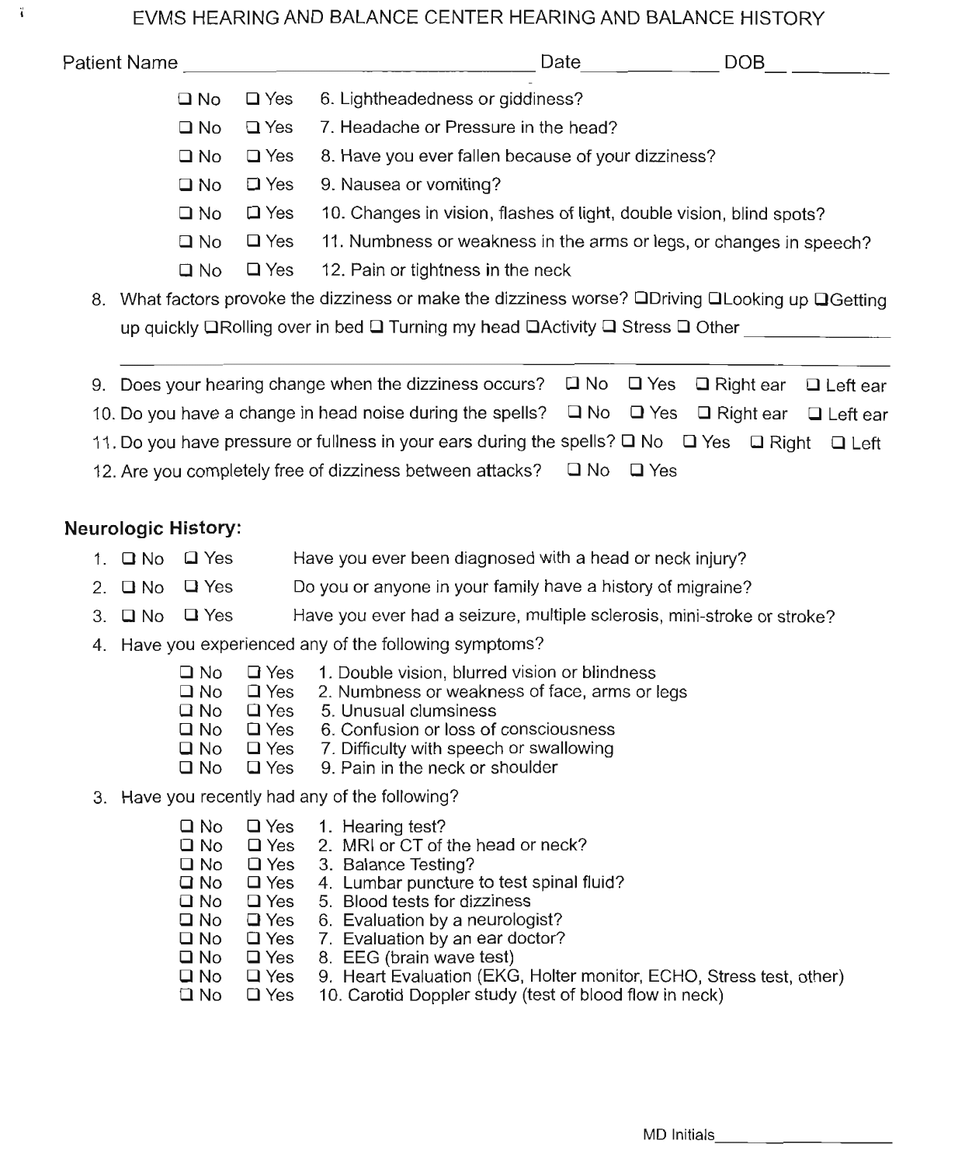### EVMS HEARING AND BALANCE CENTER HEARING AND BALANCE HISTORY

| Patient Name |              |               | Date<br><b>DOB</b>                                                                                              |
|--------------|--------------|---------------|-----------------------------------------------------------------------------------------------------------------|
|              | $\Box$ No    | $\square$ Yes | 6. Lightheadedness or giddiness?                                                                                |
|              | $\square$ No | $\square$ Yes | 7. Headache or Pressure in the head?                                                                            |
|              | $\square$ No | $\square$ Yes | 8. Have you ever fallen because of your dizziness?                                                              |
|              | $\square$ No | $\square$ Yes | 9. Nausea or vomiting?                                                                                          |
|              | $\square$ No | $\square$ Yes | 10. Changes in vision, flashes of light, double vision, blind spots?                                            |
|              | $\square$ No | $\Box$ Yes    | 11. Numbness or weakness in the arms or legs, or changes in speech?                                             |
|              | $\square$ No | $\square$ Yes | 12. Pain or tightness in the neck                                                                               |
| 8.           |              |               | What factors provoke the dizziness or make the dizziness worse? $\Box$ Driving $\Box$ Looking up $\Box$ Getting |
|              |              |               | up quickly <b>QRolling over in bed Q Turning my head QActivity Q Stress Q Other</b>                             |
|              |              |               |                                                                                                                 |
| 9.           |              |               | Does your hearing change when the dizziness occurs? $\Box$ No $\Box$ Yes<br>$\Box$ Right ear<br>$\Box$ Left ear |

- 10. Do you have a change in head noise during the spells?  $\Box$  No  $\Box$  Yes  $\Box$  Right ear  $\Box$  Left ear
- 11. Do you have pressure or fullness in your ears during the spells?  $\Box$  No  $\Box$  Yes  $\Box$  Right  $\Box$  Left
- 12. Are you completely free of dizziness between attacks?  $\Box$  No  $\Box$  Yes

# Neurologic History:

ĩ

- 1. Q No Q Yes Have you ever been diagnosed with a head or neck injury?
- 2.  $\Box$  No  $\Box$  Yes Do you or anyone in your family have a history of migraine?
- 3.  $\Box$  No  $\Box$  Yes Have you ever had a seizure, multiple sclerosis, mini-stroke or stroke?
- 4. Have you experienced any of the following symptoms?
	- $\Box$  No a Yes 1. Double vision, blurred vision or blindness
	- $\Box$  No  $\square$  Yes 2. Numbness or weakness of face, arms or legs
	- a NO a Yes 5. Unusual clumsiness
	- a NO a Yes 6. Confusion or loss of consciousness
	- a NO □ Yes 7. Difficulty with speech or swallowing
	- $\square$  No a Yes 9. Pain in the neck or shoulder
- 3. Have you recently had any of the following?

| □ No         |               | $\Box$ Yes 1. Hearing test?                                         |
|--------------|---------------|---------------------------------------------------------------------|
| □ No         | $\square$ Yes | 2. MRI or CT of the head or neck?                                   |
| $\square$ No | $\square$ Yes | 3. Balance Testing?                                                 |
| <b>⊒</b> No  | $\Box$ Yes    | 4. Lumbar puncture to test spinal fluid?                            |
| □ No         | $\square$ Yes | 5. Blood tests for dizziness                                        |
| ⊔ No         | $\Box$ Yes    | 6. Evaluation by a neurologist?                                     |
| $\square$ No | $\square$ Yes | 7. Evaluation by an ear doctor?                                     |
| $\square$ No | $\square$ Yes | 8. EEG (brain wave test)                                            |
| □ No         | $\Box$ Yes    | 9. Heart Evaluation (EKG, Holter monitor, ECHO, Stress test, other) |
| □ No         | $\square$ Yes | 10. Carotid Doppler study (test of blood flow in neck)              |
|              |               |                                                                     |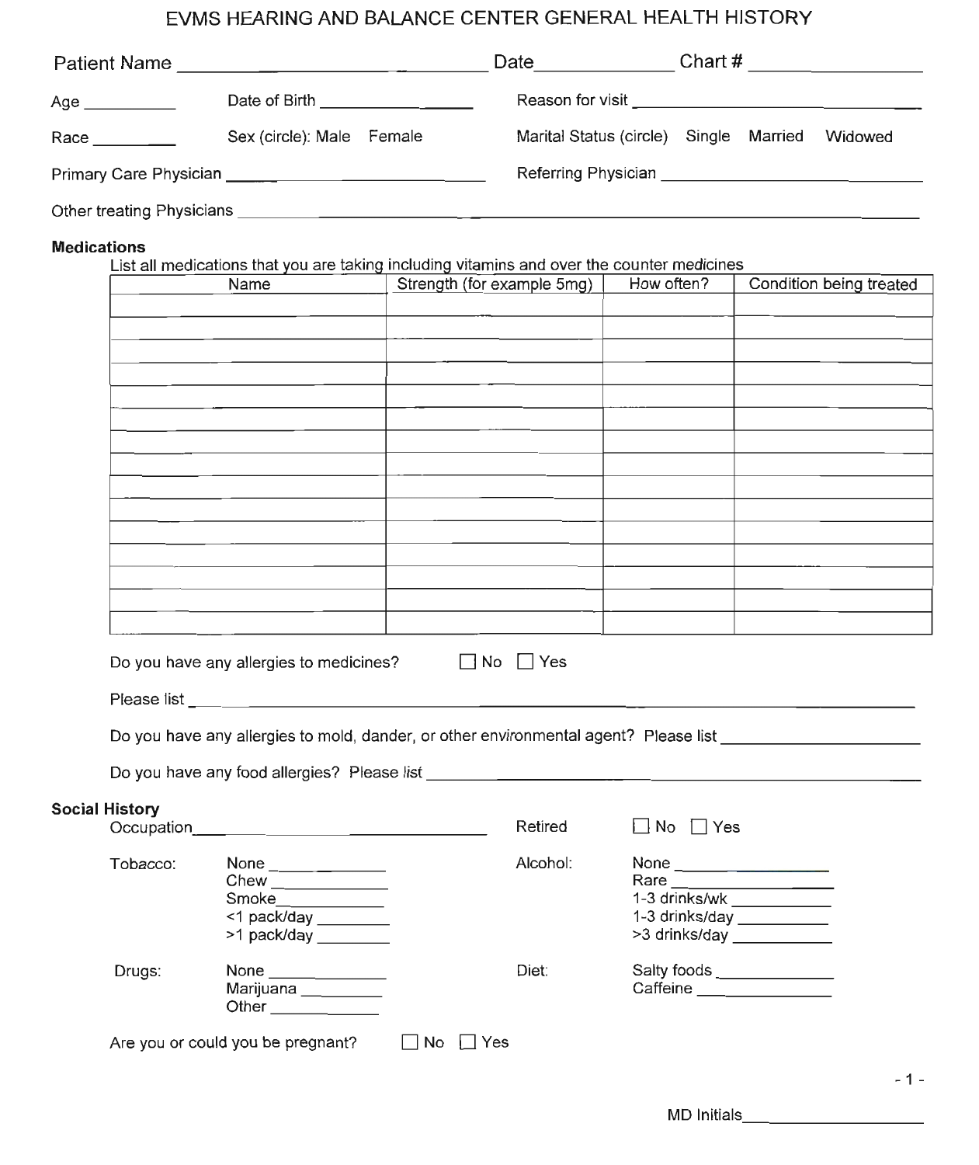# EVMS HEARING AND BALANCE CENTER GENERAL HEALTH HISTORY

| <b>Patient Name</b>       | the contract of the contract of the contract of the contract of the contract of the contract of the contract of | Date                                      | Chart #                                                          |         |
|---------------------------|-----------------------------------------------------------------------------------------------------------------|-------------------------------------------|------------------------------------------------------------------|---------|
| Age ___________           | Date of Birth ___________________                                                                               | Reason for visit ________________________ |                                                                  |         |
| Race _______              | Sex (circle): Male Female                                                                                       | Marital Status (circle) Single Married    |                                                                  | Widowed |
|                           |                                                                                                                 |                                           | Referring Physician <b>Exercise Services Referring</b> Physician |         |
| Other treating Physicians |                                                                                                                 |                                           |                                                                  |         |

#### **Medications**

List all medications that you are taking including vitamins and over the counter medicines

| Name | Strength (for example 5mg) | How often? | Condition being treated |
|------|----------------------------|------------|-------------------------|
|      |                            |            |                         |
|      |                            |            |                         |
|      |                            |            |                         |
|      |                            |            |                         |
|      |                            |            |                         |
|      |                            |            |                         |
|      |                            |            |                         |
|      |                            |            |                         |
|      |                            |            |                         |
|      |                            |            |                         |
|      |                            |            |                         |
|      |                            |            |                         |
|      |                            |            |                         |
|      |                            |            |                         |
|      |                            |            |                         |

| Do you have any allergies to medicines? |  |  |  |
|-----------------------------------------|--|--|--|
|-----------------------------------------|--|--|--|

No Yes

Retired

DNo DYes

Please list

Do you have any food allergies? Please list \_\_\_"".,\_""

#### **Social History**

| Occupation |                                                                                       | Retired  | No<br>Yes                                                                                                                                                                                                                                                                                                    |
|------------|---------------------------------------------------------------------------------------|----------|--------------------------------------------------------------------------------------------------------------------------------------------------------------------------------------------------------------------------------------------------------------------------------------------------------------|
| Tobacco:   | None $\_\_\_\_\_\_\_\_\_\_\_\_\_\_\_$<br>Smoke<br><1 pack/day<br>>1 pack/day ________ | Alcohol: | None $\qquad \qquad$<br>Rare<br>1-3 drinks/wk<br>1-3 drinks/day and the state of the state of the state of the state of the state of the state of the state of the state of the state of the state of the state of the state of the state of the state of the state of the stat<br>>3 drinks/day ___________ |
| Drugs:     | None _____________<br>Marijuana <b>Marijuan</b><br>Other                              | Diet:    | Caffeine <b>Caffeine</b>                                                                                                                                                                                                                                                                                     |

Are you or could you be pregnant?  $\Box$  No  $\Box$  Yes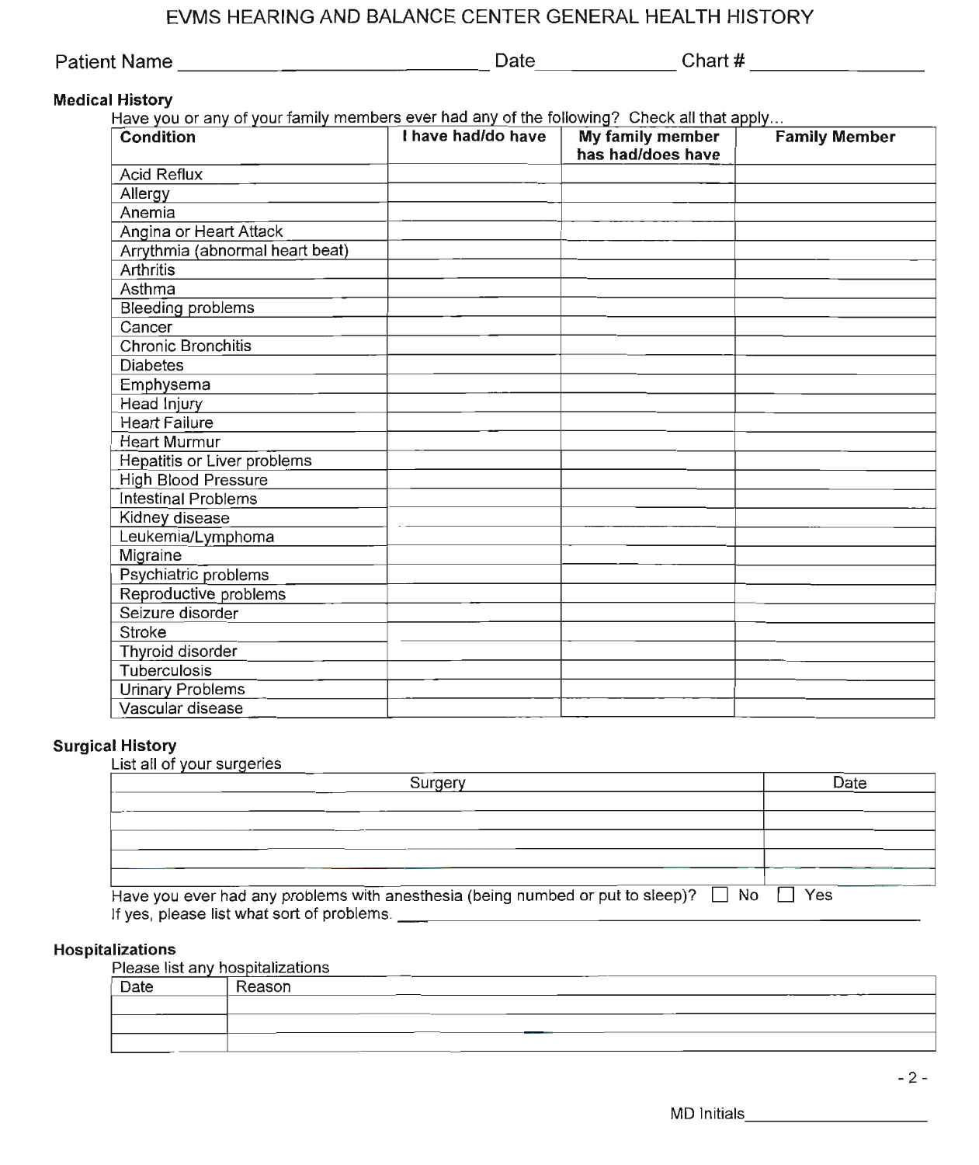## EVMS HEARING AND BALANCE CENTER GENERAL HEALTH HISTORY

| Patient Name | Date | Chart # |
|--------------|------|---------|
|              |      |         |

#### **Medical History**

Have you or any of your family members ever had any of the following? Check all that apply...

| $\frac{1}{2}$<br>Condition      | I have had/do have | My family member<br>has had/does have | <b>Family Member</b> |
|---------------------------------|--------------------|---------------------------------------|----------------------|
| <b>Acid Reflux</b>              |                    |                                       |                      |
| Allergy                         |                    |                                       |                      |
| Anemia                          |                    |                                       |                      |
| Angina or Heart Attack          |                    |                                       |                      |
| Arrythmia (abnormal heart beat) |                    |                                       |                      |
| Arthritis                       |                    |                                       |                      |
| Asthma                          |                    |                                       |                      |
| <b>Bleeding problems</b>        |                    |                                       |                      |
| Cancer                          |                    |                                       |                      |
| <b>Chronic Bronchitis</b>       |                    |                                       |                      |
| <b>Diabetes</b>                 |                    |                                       |                      |
| Emphysema                       |                    |                                       |                      |
| Head Injury                     |                    |                                       |                      |
| <b>Heart Failure</b>            |                    |                                       |                      |
| <b>Heart Murmur</b>             |                    |                                       |                      |
| Hepatitis or Liver problems     |                    |                                       |                      |
| <b>High Blood Pressure</b>      |                    |                                       |                      |
| <b>Intestinal Problems</b>      |                    |                                       |                      |
| Kidney disease                  |                    |                                       |                      |
| Leukemia/Lymphoma               |                    |                                       |                      |
| Migraine                        |                    |                                       |                      |
| Psychiatric problems            |                    |                                       |                      |
| Reproductive problems           |                    |                                       |                      |
| Seizure disorder                |                    |                                       |                      |
| <b>Stroke</b>                   |                    |                                       |                      |
| Thyroid disorder                |                    |                                       |                      |
| <b>Tuberculosis</b>             |                    |                                       |                      |
| <b>Urinary Problems</b>         |                    |                                       |                      |
| Vascular disease                |                    |                                       |                      |

#### **Surgical History**

| List all of your surgeries                 | Surgery                                                                                             | Date |
|--------------------------------------------|-----------------------------------------------------------------------------------------------------|------|
|                                            |                                                                                                     |      |
|                                            |                                                                                                     |      |
|                                            |                                                                                                     |      |
|                                            |                                                                                                     |      |
|                                            |                                                                                                     |      |
| If yes, please list what sort of problems. | Have you ever had any problems with anesthesia (being numbed or put to sleep)? $\Box$ No $\Box$ Yes |      |

#### **Hospitalizations**

Please list any hospitalizations

| . = = <del>.</del> |        |  |  |  |  |  |  |  |  |
|--------------------|--------|--|--|--|--|--|--|--|--|
| Date               | Reason |  |  |  |  |  |  |  |  |
|                    |        |  |  |  |  |  |  |  |  |
|                    |        |  |  |  |  |  |  |  |  |
|                    |        |  |  |  |  |  |  |  |  |
|                    |        |  |  |  |  |  |  |  |  |